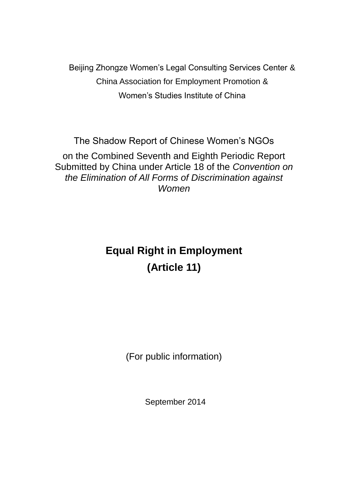Beijing Zhongze Women's Legal Consulting Services Center & China Association for Employment Promotion & Women's Studies Institute of China

The Shadow Report of Chinese Women's NGOs

on the Combined Seventh and Eighth Periodic Report Submitted by China under Article 18 of the *Convention on the Elimination of All Forms of Discrimination against Women*

# **Equal Right in Employment (Article 11)**

(For public information)

September 2014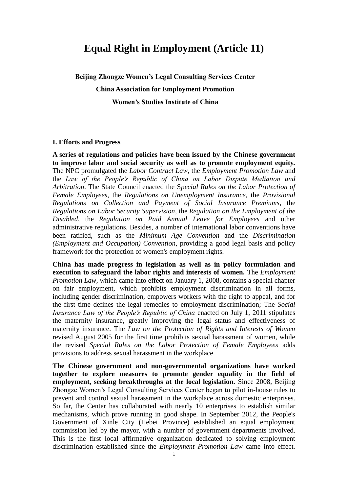## **Equal Right in Employment (Article 11)**

**Beijing Zhongze Women's Legal Consulting Services Center**

**China Association for Employment Promotion**

**Women's Studies Institute of China**

#### **I. Efforts and Progress**

**A series of regulations and policies have been issued by the Chinese government to improve labor and social security as well as to promote employment equity.** The NPC promulgated the *Labor Contract Law*, the *Employment Promotion Law* and the *Law of the People's Republic of China on Labor Dispute Mediation and Arbitration*. The State Council enacted the S*pecial Rules on the Labor Protection of Female Employees*, the *Regulations on Unemployment Insurance*, the *Provisional Regulations on Collection and Payment of Social Insurance Premiums*, the *Regulations on Labor Security Supervision*, the *Regulation on the Employment of the Disabled*, the *Regulation on Paid Annual Leave for Employees* and other administrative regulations. Besides, a number of international labor conventions have been ratified, such as the *Minimum Age Convention* and the *Discrimination (Employment and Occupation) Convention*, providing a good legal basis and policy framework for the protection of women's employment rights.

**China has made progress in legislation as well as in policy formulation and execution to safeguard the labor rights and interests of women.** The *Employment Promotion Law*, which came into effect on January 1, 2008, contains a special chapter on fair employment, which prohibits employment discrimination in all forms, including gender discrimination, empowers workers with the right to appeal, and for the first time defines the legal remedies to employment discrimination; The *Social Insurance Law of the People's Republic of China* enacted on July 1, 2011 stipulates the maternity insurance, greatly improving the legal status and effectiveness of maternity insurance. The *Law on the Protection of Rights and Interests of Women* revised August 2005 for the first time prohibits sexual harassment of women, while the revised *Special Rules on the Labor Protection of Female Employees* adds provisions to address sexual harassment in the workplace.

**The Chinese government and non-governmental organizations have worked together to explore measures to promote gender equality in the field of employment, seeking breakthroughs at the local legislation.** Since 2008, Beijing Zhongze Women's Legal Consulting Services Center began to pilot in-house rules to prevent and control sexual harassment in the workplace across domestic enterprises. So far, the Center has collaborated with nearly 10 enterprises to establish similar mechanisms, which prove running in good shape. In September 2012, the People's Government of Xinle City (Hebei Province) established an equal employment commission led by the mayor, with a number of government departments involved. This is the first local affirmative organization dedicated to solving employment discrimination established since the *Employment Promotion Law* came into effect.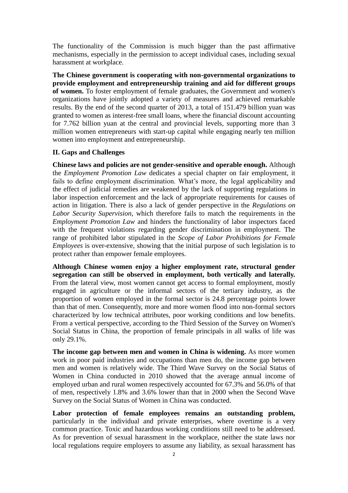The functionality of the Commission is much bigger than the past affirmative mechanisms, especially in the permission to accept individual cases, including sexual harassment at workplace.

**The Chinese government is cooperating with non-governmental organizations to provide employment and entrepreneurship training and aid for different groups of women.** To foster employment of female graduates, the Government and women's organizations have jointly adopted a variety of measures and achieved remarkable results. By the end of the second quarter of 2013, a total of 151.479 billion yuan was granted to women as interest-free small loans, where the financial discount accounting for 7.762 billion yuan at the central and provincial levels, supporting more than 3 million women entrepreneurs with start-up capital while engaging nearly ten million women into employment and entrepreneurship.

### **II. Gaps and Challenges**

**Chinese laws and policies are not gender-sensitive and operable enough.** Although the *Employment Promotion Law* dedicates a special chapter on fair employment, it fails to define employment discrimination. What's more, the legal applicability and the effect of judicial remedies are weakened by the lack of supporting regulations in labor inspection enforcement and the lack of appropriate requirements for causes of action in litigation. There is also a lack of gender perspective in the *Regulations on Labor Security Supervision*, which therefore fails to match the requirements in the *Employment Promotion Law* and hinders the functionality of labor inspectors faced with the frequent violations regarding gender discrimination in employment. The range of prohibited labor stipulated in the *Scope of Labor Prohibitions for Female Employees* is over-extensive, showing that the initial purpose of such legislation is to protect rather than empower female employees.

**Although Chinese women enjoy a higher employment rate, structural gender segregation can still be observed in employment, both vertically and laterally.**  From the lateral view, most women cannot get access to formal employment, mostly engaged in agriculture or the informal sectors of the tertiary industry, as the proportion of women employed in the formal sector is 24.8 percentage points lower than that of men. Consequently, more and more women flood into non-formal sectors characterized by low technical attributes, poor working conditions and low benefits. From a vertical perspective, according to the Third Session of the Survey on Women's Social Status in China, the proportion of female principals in all walks of life was only 29.1%.

**The income gap between men and women in China is widening.** As more women work in poor paid industries and occupations than men do, the income gap between men and women is relatively wide. The Third Wave Survey on the Social Status of Women in China conducted in 2010 showed that the average annual income of employed urban and rural women respectively accounted for 67.3% and 56.0% of that of men, respectively 1.8% and 3.6% lower than that in 2000 when the Second Wave Survey on the Social Status of Women in China was conducted.

**Labor protection of female employees remains an outstanding problem,**  particularly in the individual and private enterprises, where overtime is a very common practice. Toxic and hazardous working conditions still need to be addressed. As for prevention of sexual harassment in the workplace, neither the state laws nor local regulations require employers to assume any liability, as sexual harassment has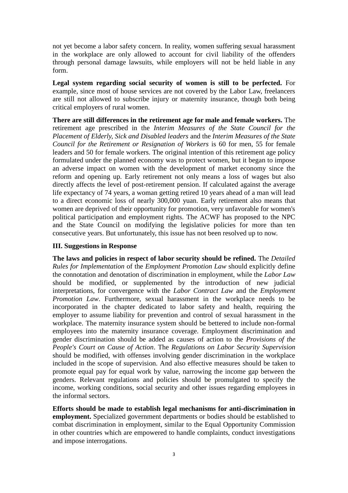not yet become a labor safety concern. In reality, women suffering sexual harassment in the workplace are only allowed to account for civil liability of the offenders through personal damage lawsuits, while employers will not be held liable in any form.

**Legal system regarding social security of women is still to be perfected.** For example, since most of house services are not covered by the Labor Law, freelancers are still not allowed to subscribe injury or maternity insurance, though both being critical employers of rural women.

**There are still differences in the retirement age for male and female workers.** The retirement age prescribed in the *Interim Measures of the State Council for the Placement of Elderly, Sick and Disabled leaders* and the *Interim Measures of the State Council for the Retirement or Resignation of Workers* is 60 for men, 55 for female leaders and 50 for female workers. The original intention of this retirement age policy formulated under the planned economy was to protect women, but it began to impose an adverse impact on women with the development of market economy since the reform and opening up. Early retirement not only means a loss of wages but also directly affects the level of post-retirement pension. If calculated against the average life expectancy of 74 years, a woman getting retired 10 years ahead of a man will lead to a direct economic loss of nearly 300,000 yuan. Early retirement also means that women are deprived of their opportunity for promotion, very unfavorable for women's political participation and employment rights. The ACWF has proposed to the NPC and the State Council on modifying the legislative policies for more than ten consecutive years. But unfortunately, this issue has not been resolved up to now.

### **III. Suggestions in Response**

**The laws and policies in respect of labor security should be refined.** The *Detailed Rules for Implementation* of the *Employment Promotion Law* should explicitly define the connotation and denotation of discrimination in employment, while the *Labor Law* should be modified, or supplemented by the introduction of new judicial interpretations, for convergence with the *Labor Contract Law* and the *Employment Promotion Law*. Furthermore, sexual harassment in the workplace needs to be incorporated in the chapter dedicated to labor safety and health, requiring the employer to assume liability for prevention and control of sexual harassment in the workplace. The maternity insurance system should be bettered to include non-formal employees into the maternity insurance coverage. Employment discrimination and gender discrimination should be added as causes of action to the *Provisions of the People's Court on Cause of Action*. The *Regulations on Labor Security Supervision* should be modified, with offenses involving gender discrimination in the workplace included in the scope of supervision. And also effective measures should be taken to promote equal pay for equal work by value, narrowing the income gap between the genders. Relevant regulations and policies should be promulgated to specify the income, working conditions, social security and other issues regarding employees in the informal sectors.

**Efforts should be made to establish legal mechanisms for anti-discrimination in employment.** Specialized government departments or bodies should be established to combat discrimination in employment, similar to the Equal Opportunity Commission in other countries which are empowered to handle complaints, conduct investigations and impose interrogations.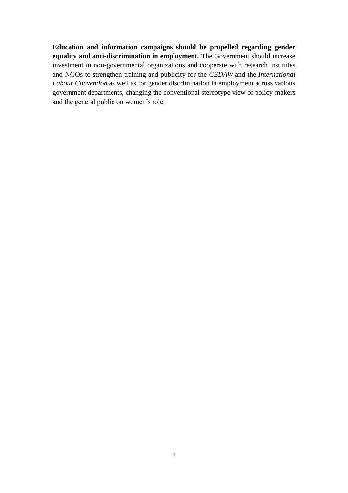**Education and information campaigns should be propelled regarding gender equality and anti-discrimination in employment.** The Government should increase investment in non-governmental organizations and cooperate with research institutes and NGOs to strengthen training and publicity for the *CEDAW* and the *International Labour Convention* as well as for gender discrimination in employment across various government departments, changing the conventional stereotype view of policy-makers and the general public on women's role.